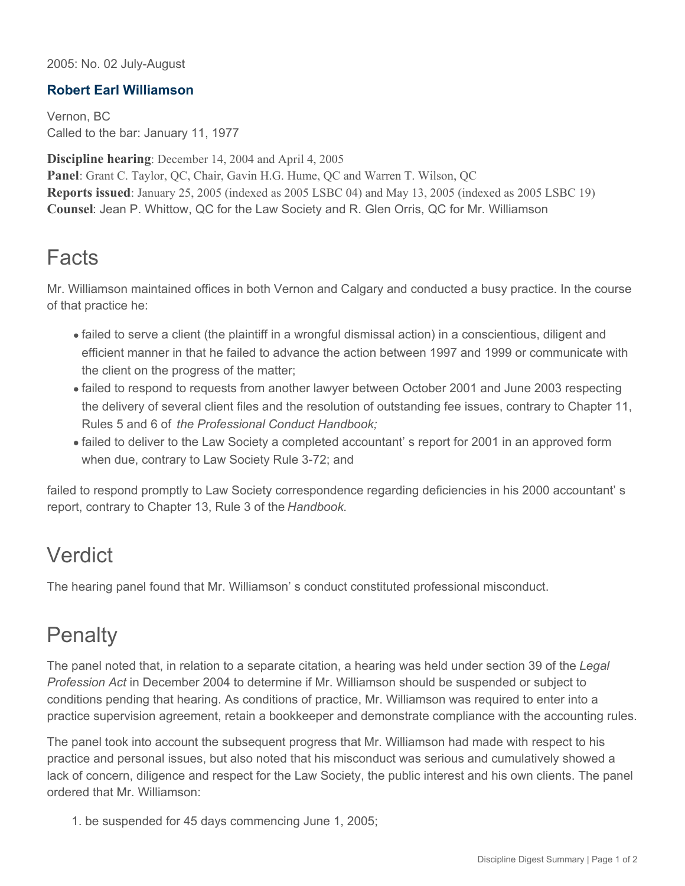#### 2005: No. 02 July-August

#### **Robert Earl Williamson**

Vernon, BC Called to the bar: January 11, 1977

**Discipline hearing**: December 14, 2004 and April 4, 2005 **Panel**: Grant C. Taylor, QC, Chair, Gavin H.G. Hume, QC and Warren T. Wilson, QC **Reports issued**: January 25, 2005 (indexed as 2005 LSBC 04) and May 13, 2005 (indexed as 2005 LSBC 19) **Counsel**: Jean P. Whittow, QC for the Law Society and R. Glen Orris, QC for Mr. Williamson

### **Facts**

Mr. Williamson maintained offices in both Vernon and Calgary and conducted a busy practice. In the course of that practice he:

- failed to serve a client (the plaintiff in a wrongful dismissal action) in a conscientious, diligent and efficient manner in that he failed to advance the action between 1997 and 1999 or communicate with the client on the progress of the matter;
- failed to respond to requests from another lawyer between October 2001 and June 2003 respecting the delivery of several client files and the resolution of outstanding fee issues, contrary to Chapter 11, Rules 5 and 6 of *the Professional Conduct Handbook;*
- failed to deliver to the Law Society a completed accountant' s report for 2001 in an approved form when due, contrary to Law Society Rule 3-72; and

failed to respond promptly to Law Society correspondence regarding deficiencies in his 2000 accountant' s report, contrary to Chapter 13, Rule 3 of the *Handbook*.

## Verdict

The hearing panel found that Mr. Williamson' s conduct constituted professional misconduct.

# **Penalty**

The panel noted that, in relation to a separate citation, a hearing was held under section 39 of the *Legal Profession Act* in December 2004 to determine if Mr. Williamson should be suspended or subject to conditions pending that hearing. As conditions of practice, Mr. Williamson was required to enter into a practice supervision agreement, retain a bookkeeper and demonstrate compliance with the accounting rules.

The panel took into account the subsequent progress that Mr. Williamson had made with respect to his practice and personal issues, but also noted that his misconduct was serious and cumulatively showed a lack of concern, diligence and respect for the Law Society, the public interest and his own clients. The panel ordered that Mr. Williamson:

1. be suspended for 45 days commencing June 1, 2005;